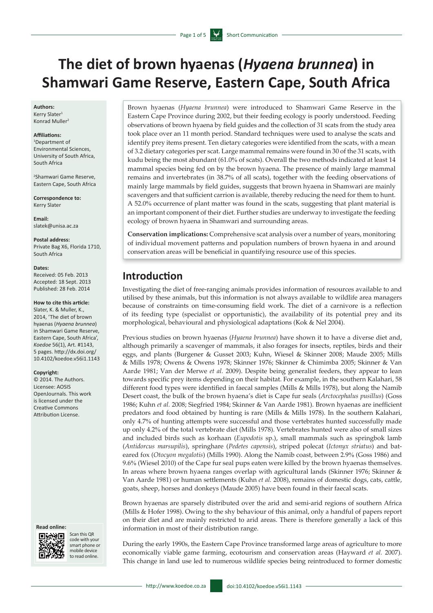# **The diet of brown hyaenas (***Hyaena brunnea***) in Shamwari Game Reserve, Eastern Cape, South Africa**

### **Authors:**

Kerry Slater<sup>1</sup> Konrad Muller2

#### **Affiliations:**

1 Department of Environmental Sciences, University of South Africa, South Africa

2 Shamwari Game Reserve, Eastern Cape, South Africa

**Correspondence to:** Kerry Slater

**Email:** [slatek@unisa.ac.za](mailto:slatek@unisa.ac.za)

**Postal address:** Private Bag X6, Florida 1710, South Africa

#### **Dates:**

Received: 05 Feb. 2013 Accepted: 18 Sept. 2013 Published: 28 Feb. 2014

### **How to cite this article:**

Slater, K. & Muller, K., 2014, 'The diet of brown hyaenas (*Hyaena brunnea*) in Shamwari Game Reserve, Eastern Cape, South Africa', *Koedoe* 56(1), Art. #1143, 5 pages. [http://dx.doi.org/](http://dx.doi.org/10.4102/koedoe.v56i1.1143)  [10.4102/koedoe.v56i1.1143](http://dx.doi.org/10.4102/koedoe.v56i1.1143)

#### **Copyright:**

© 2014. The Authors. Licensee: AOSIS OpenJournals. This work is licensed under the Creative Commons Attribution License.

#### **Read online:**



Scan this OR code with your smart phone or mobile device to read online.

Brown hyaenas (*Hyaena brunnea*) were introduced to Shamwari Game Reserve in the Eastern Cape Province during 2002, but their feeding ecology is poorly understood. Feeding observations of brown hyaena by field guides and the collection of 31 scats from the study area took place over an 11 month period. Standard techniques were used to analyse the scats and identify prey items present. Ten dietary categories were identified from the scats, with a mean of 3.2 dietary categories per scat. Large mammal remains were found in 30 of the 31 scats, with kudu being the most abundant (61.0% of scats). Overall the two methods indicated at least 14 mammal species being fed on by the brown hyaena. The presence of mainly large mammal remains and invertebrates (in 38.7% of all scats), together with the feeding observations of mainly large mammals by field guides, suggests that brown hyaena in Shamwari are mainly scavengers and that sufficient carrion is available, thereby reducing the need for them to hunt. A 52.0% occurrence of plant matter was found in the scats, suggesting that plant material is an important component of their diet. Further studies are underway to investigate the feeding ecology of brown hyaena in Shamwari and surrounding areas.

**Conservation implications:** Comprehensive scat analysis over a number of years, monitoring of individual movement patterns and population numbers of brown hyaena in and around conservation areas will be beneficial in quantifying resource use of this species.

# **Introduction**

Investigating the diet of free-ranging animals provides information of resources available to and utilised by these animals, but this information is not always available to wildlife area managers because of constraints on time-consuming field work. The diet of a carnivore is a reflection of its feeding type (specialist or opportunistic), the availability of its potential prey and its morphological, behavioural and physiological adaptations (Kok & Nel 2004).

Previous studies on brown hyaenas (*Hyaena brunnea*) have shown it to have a diverse diet and, although primarily a scavenger of mammals, it also forages for insects, reptiles, birds and their eggs, and plants (Burgener & Gusset 2003; Kuhn, Wiesel & Skinner 2008; Maude 2005; Mills & Mills 1978; Owens & Owens 1978; Skinner 1976; Skinner & Chimimba 2005; Skinner & Van Aarde 1981; Van der Merwe *et al.* 2009). Despite being generalist feeders, they appear to lean towards specific prey items depending on their habitat. For example, in the southern Kalahari, 58 different food types were identified in faecal samples (Mills & Mills 1978), but along the Namib Desert coast, the bulk of the brown hyaena's diet is Cape fur seals (*Arctocephalus pusillus*) (Goss 1986; Kuhn *et al.* 2008; Siegfried 1984; Skinner & Van Aarde 1981). Brown hyaenas are inefficient predators and food obtained by hunting is rare (Mills & Mills 1978). In the southern Kalahari, only 4.7% of hunting attempts were successful and those vertebrates hunted successfully made up only 4.2% of the total vertebrate diet (Mills 1978). Vertebrates hunted were also of small sizes and included birds such as korhaan (*Eupodotis* sp.), small mammals such as springbok lamb (*Antidorcus marsupilis*), springhare (*Pedetes capensis*), striped polecat (*Ictonyx striatus*) and bateared fox (*Otocyon megalotis*) (Mills 1990). Along the Namib coast, between 2.9% (Goss 1986) and 9.6% (Wiesel 2010) of the Cape fur seal pups eaten were killed by the brown hyaenas themselves. In areas where brown hyaena ranges overlap with agricultural lands (Skinner 1976; Skinner & Van Aarde 1981) or human settlements (Kuhn *et al.* 2008), remains of domestic dogs, cats, cattle, goats, sheep, horses and donkeys (Maude 2005) have been found in their faecal scats.

Brown hyaenas are sparsely distributed over the arid and semi-arid regions of southern Africa (Mills & Hofer 1998). Owing to the shy behaviour of this animal, only a handful of papers report on their diet and are mainly restricted to arid areas. There is therefore generally a lack of this information in most of their distribution range.

During the early 1990s, the Eastern Cape Province transformed large areas of agriculture to more economically viable game farming, ecotourism and conservation areas (Hayward *et al.* 2007). This change in land use led to numerous wildlife species being reintroduced to former domestic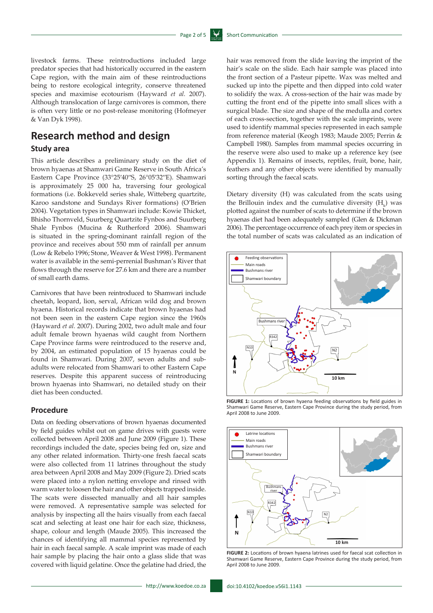livestock farms. These reintroductions included large predator species that had historically occurred in the eastern Cape region, with the main aim of these reintroductions being to restore ecological integrity, conserve threatened species and maximise ecotourism (Hayward *et al.* 2007). Although translocation of large carnivores is common, there is often very little or no post-release monitoring (Hofmeyer & Van Dyk 1998).

# **Research method and design**

### **Study area**

This article describes a preliminary study on the diet of brown hyaenas at Shamwari Game Reserve in South Africa's Eastern Cape Province (33°25′40′′S, 26°05′32′′E). Shamwari is approximately 25 000 ha, traversing four geological formations (i.e. Bokkeveld series shale, Witteberg quartzite, Karoo sandstone and Sundays River formations) (O'Brien 2004). Vegetation types in Shamwari include: Kowie Thicket, Bhisho Thornveld, Suurberg Quartzite Fynbos and Suurberg Shale Fynbos (Mucina & Rutherford 2006). Shamwari is situated in the spring-dominant rainfall region of the province and receives about 550 mm of rainfall per annum (Low & Rebelo 1996; Stone, Weaver & West 1998). Permanent water is available in the semi-perrenial Bushman's River that flows through the reserve for 27.6 km and there are a number of small earth dams.

Carnivores that have been reintroduced to Shamwari include cheetah, leopard, lion, serval, African wild dog and brown hyaena. Historical records indicate that brown hyaenas had not been seen in the eastern Cape region since the 1960s (Hayward *et al.* 2007). During 2002, two adult male and four adult female brown hyaenas wild caught from Northern Cape Province farms were reintroduced to the reserve and, by 2004, an estimated population of 15 hyaenas could be found in Shamwari. During 2007, seven adults and subadults were relocated from Shamwari to other Eastern Cape reserves. Despite this apparent success of reintroducing brown hyaenas into Shamwari, no detailed study on their diet has been conducted.

### **Procedure**

Data on feeding observations of brown hyaenas documented by field guides whilst out on game drives with guests were collected between April 2008 and June 2009 (Figure 1). These recordings included the date, species being fed on, size and any other related information. Thirty-one fresh faecal scats were also collected from 11 latrines throughout the study area between April 2008 and May 2009 (Figure 2). Dried scats were placed into a nylon netting envelope and rinsed with warm water to loosen the hair and other objects trapped inside. The scats were dissected manually and all hair samples were removed. A representative sample was selected for analysis by inspecting all the hairs visually from each faecal scat and selecting at least one hair for each size, thickness, shape, colour and length (Maude 2005). This increased the chances of identifying all mammal species represented by hair in each faecal sample. A scale imprint was made of each hair sample by placing the hair onto a glass slide that was covered with liquid gelatine. Once the gelatine had dried, the sucked up into the pipette and then dipped into cold water to solidify the wax. A cross-section of the hair was made by cutting the front end of the pipette into small slices with a surgical blade. The size and shape of the medulla and cortex of each cross-section, together with the scale imprints, were used to identify mammal species represented in each sample from reference material (Keogh 1983; Maude 2005; Perrin & Campbell 1980). Samples from mammal species occurring in the reserve were also used to make up a reference key (see Appendix 1). Remains of insects, reptiles, fruit, bone, hair, feathers and any other objects were identified by manually sorting through the faecal scats. Dietary diversity (H) was calculated from the scats using

hair was removed from the slide leaving the imprint of the hair's scale on the slide. Each hair sample was placed into the front section of a Pasteur pipette. Wax was melted and

the Brillouin index and the cumulative diversity  $(H_k)$  was plotted against the number of scats to determine if the brown hyaenas diet had been adequately sampled (Glen & Dickman 2006). The percentage occurrence of each prey item or species in the total number of scats was calculated as an indication of



**FIGURE 1:** Locations of brown hyaena feeding observations by field guides in Shamwari Game Reserve, Eastern Cape Province during the study period, from April 2008 to June 2009.



**FIGURE 2:** Locations of brown hyaena latrines used for faecal scat collection in Shamwari Game Reserve, Eastern Cape Province during the study period, from April 2008 to June 2009.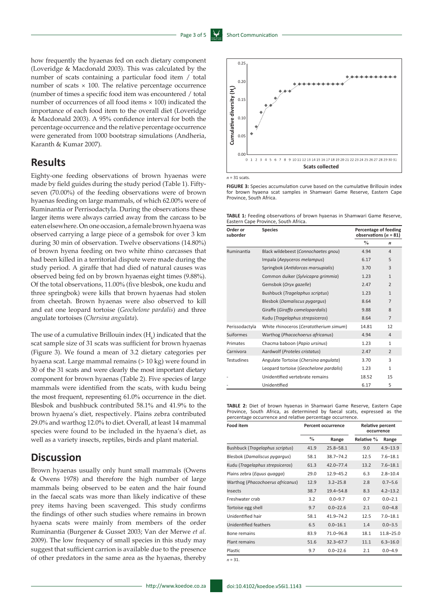0.25

how frequently the hyaenas fed on each dietary component (Loveridge & Macdonald 2003). This was calculated by the number of scats containing a particular food item / total number of scats  $\times$  100. The relative percentage occurrence (number of times a specific food item was encountered / total number of occurrences of all food items × 100) indicated the importance of each food item to the overall diet (Loveridge & Macdonald 2003). A 95% confidence interval for both the percentage occurrence and the relative percentage occurrence were generated from 1000 bootstrap simulations (Andheria, Karanth & Kumar 2007).

## **Results**

Eighty-one feeding observations of brown hyaenas were made by field guides during the study period (Table 1). Fiftyseven (70.00%) of the feeding observations were of brown hyaenas feeding on large mammals, of which 62.00% were of Ruminantia or Perrisodactyla. During the observations these larger items were always carried away from the carcass to be eaten elsewhere. On one occasion, a female brown hyaena was observed carrying a large piece of a gemsbok for over 3 km during 30 min of observation. Twelve observations (14.80%) of brown hyena feeding on two white rhino carcasses that had been killed in a territorial dispute were made during the study period. A giraffe that had died of natural causes was observed being fed on by brown hyaenas eight times (9.88%). Of the total observations, 11.00% (five blesbok, one kudu and three springbok) were kills that brown hyaenas had stolen from cheetah. Brown hyaenas were also observed to kill and eat one leopard tortoise (*Geochelone pardalis*) and three angulate tortoises (*Chersina angulata*).

The use of a cumulative Brillouin index  $(H_k)$  indicated that the scat sample size of 31 scats was sufficient for brown hyaenas (Figure 3). We found a mean of 3.2 dietary categories per hyaena scat. Large mammal remains (> 10 kg) were found in 30 of the 31 scats and were clearly the most important dietary component for brown hyaenas (Table 2). Five species of large mammals were identified from the scats, with kudu being the most frequent, representing 61.0% occurrence in the diet. Blesbok and bushbuck contributed 58.1% and 41.9% to the brown hyaena's diet, respectively. Plains zebra contributed 29.0% and warthog 12.0% to diet. Overall, at least 14 mammal species were found to be included in the hyaena's diet, as well as a variety insects, reptiles, birds and plant material.

# **Discussion**

Brown hyaenas usually only hunt small mammals (Owens & Owens 1978) and therefore the high number of large mammals being observed to be eaten and the hair found in the faecal scats was more than likely indicative of these prey items having been scavenged. This study confirms the findings of other such studies where remains in brown hyaena scats were mainly from members of the order Ruminantia (Burgener & Gusset 2003; Van der Merwe *et al.* 2009). The low frequency of small species in this study may suggest that sufficient carrion is available due to the presence of other predators in the same area as the hyaenas, thereby



**TABLE 1:** Feeding observations of brown hyaenas in Shamwari Game Reserve,

| Order or<br>suborder | <b>Species</b>                         | Percentage of feeding<br>observations ( $n = 81$ ) |                  |
|----------------------|----------------------------------------|----------------------------------------------------|------------------|
|                      |                                        | $\frac{0}{0}$                                      | $\boldsymbol{n}$ |
| Ruminantia           | Black wildebeest (Connochaetes gnou)   | 4.94                                               | 4                |
|                      | Impala (Aepyceros melampus)            | 6.17                                               | 5                |
|                      | Springbok (Antidorcas marsupialis)     | 3.70                                               | 3                |
|                      | Common duiker (Sylvicapra grimmia)     | 1.23                                               | $\mathbf{1}$     |
|                      | Gemsbok (Oryx gazelle)                 | 2.47                                               | $\overline{2}$   |
|                      | <b>Bushbuck (Tragelaphus scriptus)</b> | 1.23                                               | $\mathbf{1}$     |
|                      | Blesbok (Damaliscus pygargus)          | 8.64                                               | $\overline{7}$   |
|                      | Giraffe (Giraffa camelopardalis)       | 9.88                                               | 8                |
|                      | Kudu (Tragelaphus strepsiceros)        | 8.64                                               | $\overline{7}$   |
| Perissodactyla       | White rhinoceros (Ceratotherium simum) |                                                    | 12               |
| <b>Suiformes</b>     | Warthog (Phacochoerus africanus)       | 4.94                                               | $\overline{4}$   |
| Primates             | Chacma baboon (Papio ursinus)          | 1.23                                               | $\mathbf{1}$     |
| Carnivora            | Aardwolf (Proteles cristatus)          | 2.47                                               | $\overline{2}$   |
| <b>Testudines</b>    | Angulate Tortoise (Chersina angulata)  | 3.70                                               | 3                |
|                      | Leopard tortoise (Geochelone pardalis) | 1.23                                               | $\mathbf{1}$     |
|                      | Unidentified vertebrate remains        | 18.52                                              | 15               |
|                      | Unidentified                           | 6.17                                               | 5                |

**TABLE 2:** Diet of brown hyaenas in Shamwari Game Reserve, Eastern Cape Province, South Africa, as determined by faecal scats, expressed as the percentage occurrence and relative percentage occurrence.

| <b>Food item</b>                     | <b>Percent occurrence</b> |               | <b>Relative percent</b><br>occurrence |               |
|--------------------------------------|---------------------------|---------------|---------------------------------------|---------------|
|                                      | $\frac{0}{0}$             | Range         | Relative %                            | Range         |
| Bushbuck (Tragelaphus scriptus)      | 41.9                      | $25.8 - 58.1$ | 9.0                                   | $4.9 - 13.9$  |
| <b>Blesbok (Damaliscus pygargus)</b> | 58.1                      | $38.7 - 74.2$ | 12.5                                  | $7.6 - 18.1$  |
| Kudu (Tragelaphus strepsiceros)      | 61.3                      | $42.0 - 77.4$ | 13.2                                  | $7.6 - 18.1$  |
| Plains zebra (Equus quagga)          | 29.0                      | $12.9 - 45.2$ | 6.3                                   | $2.8 - 10.4$  |
| Warthog (Phacochoerus africanus)     | 12.9                      | $3.2 - 25.8$  | 2.8                                   | $0.7 - 5.6$   |
| Insects                              | 38.7                      | $19.4 - 54.8$ | 8.3                                   | $4.2 - 13.2$  |
| Freshwater crab                      | 3.2                       | $0.0 - 9.7$   | 0.7                                   | $0.0 - 2.1$   |
| Tortoise egg shell                   | 9.7                       | $0.0 - 22.6$  | 2.1                                   | $0.0 - 4.8$   |
| Unidentified hair                    | 58.1                      | $41.9 - 74.2$ | 12.5                                  | $7.0 - 18.1$  |
| Unidentified feathers                | 6.5                       | $0.0 - 16.1$  | 1.4                                   | $0.0 - 3.5$   |
| Bone remains                         | 83.9                      | 71.0-96.8     | 18.1                                  | $11.8 - 25.0$ |
| <b>Plant remains</b>                 | 51.6                      | $32.3 - 67.7$ | 11.1                                  | $6.3 - 16.0$  |
| Plastic                              | 9.7                       | $0.0 - 22.6$  | 2.1                                   | $0.0 - 4.9$   |
| $n = 31.$                            |                           |               |                                       |               |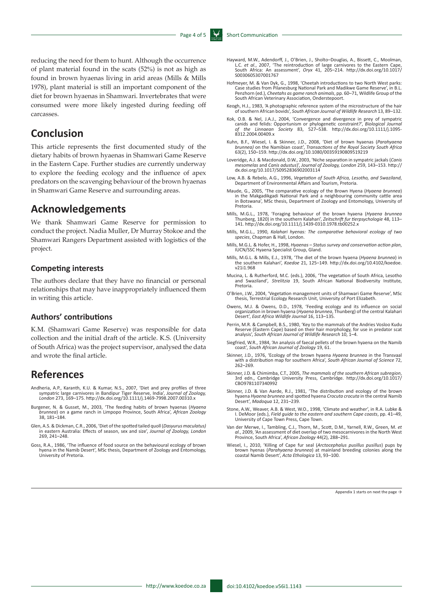reducing the need for them to hunt. Although the occurrence of plant material found in the scats (52%) is not as high as found in brown hyaenas living in arid areas (Mills & Mills 1978), plant material is still an important component of the diet for brown hyaenas in Shamwari. Invertebrates that were consumed were more likely ingested during feeding off carcasses.

# **Conclusion**

This article represents the first documented study of the dietary habits of brown hyaenas in Shamwari Game Reserve in the Eastern Cape. Further studies are currently underway to explore the feeding ecology and the influence of apex predators on the scavenging behaviour of the brown hyaenas in Shamwari Game Reserve and surrounding areas.

### **Acknowledgements**

We thank Shamwari Game Reserve for permission to conduct the project. Nadia Muller, Dr Murray Stokoe and the Shamwari Rangers Department assisted with logistics of the project.

### **Competing interests**

The authors declare that they have no financial or personal relationships that may have inappropriately influenced them in writing this article.

### **Authors' contributions**

K.M. (Shamwari Game Reserve) was responsible for data collection and the initial draft of the article. K.S. (University of South Africa) was the project supervisor, analysed the data and wrote the final article.

### **References**

- Andheria, A.P., Karanth, K.U. & Kumar, N.S., 2007, 'Diet and prey profiles of three sympatric large carnivores in Bandipur Tiger Reserve, India', *Journal of Zoology, London* 273, 169–175.<http://dx.doi.org/10.1111/j.1469-7998.2007.00310.x>
- Burgener, N. & Gusset, M., 2003, 'The feeding habits of brown hyaenas (*Hyaena brunnea*) on a game ranch in Limpopo Province, South Africa', *African Zoology* 38, 181–184.
- Glen, A.S. & Dickman, C.R., 2006, 'Diet of the spotted tailed quoll (*Dasyurus maculatus)*  in eastern Australia: Effects of season, sex and size', *Journal of Zoology, London* 269, 241–248.
- Goss, R.A., 1986, 'The influence of food source on the behavioural ecology of brown hyena in the Namib Desert', MSc thesis, Department of Zoology and Entomology, University of Pretoria.
- Hayward, M.W., Adendorff, J., O'Brien, J., Sholto–Douglas, A., Bissett, C., Moolman, L.C. *et al.*, 2007, 'The reintroduction of large carnivores to the Eastern Cape, South Africa: An assessment', *Oryx* 41, 205–214. [http://dx.doi.org/10.1017/](http://dx.doi.org/10.1017/S0030605307001767) [S0030605307001767](http://dx.doi.org/10.1017/S0030605307001767)
- Hofmeyer, M. & Van Dyk, G., 1998, 'Cheetah introductions to two North West parks: Case studies from Pilanesburg National Park and Madikwe Game Reserve', in B.L. Penzhorn (ed.), *Cheetahs as game ranch animals*, pp. 60–71, Wildlife Group of the South African Veterinary Association, Onderstepoort.
- Keogh, H.J., 1983, 'A photographic reference system of the microstructure of the hair of southern African bovids', *South African Journal of Wildlife Research* 13, 89–132.
- Kok, O.B. & Nel, J.A.J., 2004, 'Convergence and divergence in prey of sympatric canids and felids: Opportunism or phylogenetic constraint?', *Biological Journal of the Linnaean Society* 83, 527–538. [http://dx.doi.org/10.1111/j.1095-](http://dx.doi.org/10.1111/j.1095-8312.2004.00409.x) [8312.2004.00409.x](http://dx.doi.org/10.1111/j.1095-8312.2004.00409.x)
- Kuhn, B.F., Wiesel, I. & Skinner, J.D., 2008, 'Diet of brown hyaenas (Parahyaena<br>brunnea) on the Namibian coast', Transactions of the Royal Society South Africa<br>63(2), 150–159.<http://dx.doi.org/10.1080/00359190809519219>
- Loveridge, A.J. & Macdonald, D.W., 2003, 'Niche separation in sympatric jackals (*Canis mesomelas* and *Canis adustus*)', *Journal of Zoology, London* 259, 143–153. [http://](http://dx.doi.org/10.1017/S0952836902003114) [dx.doi.org/10.1017/S0952836902003114](http://dx.doi.org/10.1017/S0952836902003114)
- Low, A.B. & Rebelo, A.G., 1996, *Vegetation of South Africa, Lesotho, and Swaziland*, Department of Environmental Affairs and Tourism, Pretoria.
- Maude, G., 2005, 'The comparative ecology of the Brown Hyena (Hyaena brunnea)<br>in the Makgadikgadi National Park and a neighbouring community cattle area<br>in Botswana', MSc thesis, Department of Zoology and Entomology, Unive Pretoria.
- Mills, M.G.L., 1978, 'Foraging behaviour of the brown hyaena (*Hyaena brunnea*  Thunberg, 1820) in the southern Kalahari', *Zeitschrift fur tierpsychologie* 48, 113– 141.<http://dx.doi.org/10.1111/j.1439-0310.1978.tb00252.x>
- Mills, M.G.L., 1990, *Kalahari hyenas: The comparative behavioral ecology of two species*, Chapman & Hall, London.
- Mills, M.G.L. & Hofer, H., 1998, *Hyaenas Status survey and conservation action plan*, IUCN/SSC Hyaena Specialist Group, Gland.
- Mills, M.G.L. & Mills, E.J., 1978, 'The diet of the brown hyaena (*Hyaena brunnea*) in the southern Kalahari', *Koedoe* 21, 125–149. [http://dx.doi.org/10.4102/koedoe.](http://dx.doi.org/10.4102/koedoe.v21i1.968) [v21i1.968](http://dx.doi.org/10.4102/koedoe.v21i1.968)
- Mucina, L. & Rutherford, M.C. (eds.), 2006, 'The vegetation of South Africa, Lesotho and Swaziland'*, Strelitzia* 19, South African National Biodiversity Institute, Pretoria.
- O'Brien, J.W., 2004, 'Vegetation management units of Shamwari Game Reserve', MSc thesis, Terrestrial Ecology Research Unit, University of Port Elizabeth.
- Owens, M.J. & Owens, D.D., 1978, 'Feeding ecology and its influence on social organization in brown hyaena (*Hyaena brunnea*, Thunberg) of the central Kalahari Desert', *East Africa Wildlife Journal* 16, 113–135.
- Perrin, M.R. & Campbell, B.S., 1980, 'Key to the mammals of the Andries Vosloo Kudu Reserve (Eastern Cape) based on their hair morphology, for use in predator scat analysis', *South African Journal of Wildlife Research* 10, 1–4.
- Siegfried, W.R., 1984, 'An analysis of faecal pellets of the brown hyaena on the Namib coast', *South African Journal of Zoology* 19, 61.
- Skinner, J.D., 1976, 'Ecology of the brown hyaena *Hyaena brunnea* in the Transvaal with a distribution map for southern Africa', *South African Journal of Science* 72, 262–269.
- Skinner, J.D. & Chimimba, C.T., 2005, *The mammals of the southern African subregion*, 3rd edn., Cambridge University Press, Cambridge. [http://dx.doi.org/10.1017/](http://dx.doi.org/10.1017/CBO9781107340992) [CBO9781107340992](http://dx.doi.org/10.1017/CBO9781107340992)
- Skinner, J.D. & Van Aarde, R.J., 1981, 'The distribution and ecology of the brown hyaena *Hyaena brunnea* and spotted hyaena *Crocuta crocuta* in the central Namib Desert', *Madoqua* 12, 231–239.
- Stone, A.W., Weaver, A.B. & West, W.O., 1998, 'Climate and weather', in R.A. Lubke & I. DeMoor (eds.), *Field guide to the eastern and southern Cape coasts*, pp. 41–49, University of Cape Town Press, Cape Town.
- Van der Merwe, I., Tambling, C.J., Thorn, M., Scott, D.M., Yarnell, R.W., Green, M. et al., 2009, 'An assessment of diet overlap of two mesocarnivores in the North West<br>Province, South Africa', African Zoology 44(2), 288–2
- Wiesel, I., 2010, 'Killing of Cape fur seal (*Arctocephalus pusillus pusillus*) pups by brown hyenas (*Parahyaena brunnea*) at mainland breeding colonies along the coastal Namib Desert', *Acta Ethologica* 13, 93–100.

Appendix 1 starts on next the page →